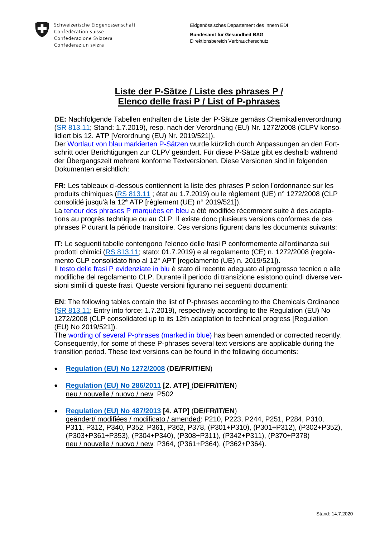

**Bundesamt für Gesundheit BAG** Direktionsbereich Verbraucherschutz

## **Liste der P-Sätze / Liste des phrases P / Elenco delle frasi P / List of P-phrases**

**DE:** Nachfolgende Tabellen enthalten die Liste der P-Sätze gemäss Chemikalienverordnung [\(SR 813.11;](https://www.admin.ch/opc/de/classified-compilation/20141117/index.html) Stand: 1.7.2019), resp. nach der Verordnung (EU) Nr. 1272/2008 (CLPV konsolidiert bis 12. ATP [Verordnung (EU) Nr. 2019/521]).

Der Wortlaut von blau markierten P-Sätzen wurde kürzlich durch Anpassungen an den Fortschritt oder Berichtigungen zur CLPV geändert. Für diese P-Sätze gibt es deshalb während der Übergangszeit mehrere konforme Textversionen. Diese Versionen sind in folgenden Dokumenten ersichtlich:

**FR:** Les tableaux ci-dessous contiennent la liste des phrases P selon l'ordonnance sur les produits chimiques [\(RS 813.11](https://www.admin.ch/opc/fr/classified-compilation/20141117/index.html) ; état au 1.7.2019) ou le règlement (UE) n° 1272/2008 (CLP consolidé jusqu'à la 12<sup>e</sup> ATP [règlement (UE) n° 2019/521]). La teneur des phrases P marquées en bleu a été modifiée récemment suite à des adaptations au progrès technique ou au CLP. Il existe donc plusieurs versions conformes de ces

phrases P durant la période transitoire. Ces versions figurent dans les documents suivants: **IT:** Le seguenti tabelle contengono l'elenco delle frasi P conformemente all'ordinanza sui prodotti chimici [\(RS 813.11;](https://www.admin.ch/opc/it/classified-compilation/20141117/index.html) stato: 01.7.2019) e al regolamento (CE) n. 1272/2008 (regola-

mento CLP consolidato fino al 12° APT [regolamento (UE) n. 2019/521]). Il testo delle frasi P evidenziate in blu è stato di recente adeguato al progresso tecnico o alle modifiche del regolamento CLP. Durante il periodo di transizione esistono quindi diverse versioni simili di queste frasi. Queste versioni figurano nei seguenti documenti:

**EN**: The following tables contain the list of P-phrases according to the Chemicals Ordinance [\(SR 813.11;](https://www.admin.ch/opc/en/classified-compilation/20021519/index.html) Entry into force: 1.7.2019), respectively according to the Regulation (EU) No 1272/2008 (CLP consolidated up to its 12th adaptation to technical progress [Regulation (EU) No 2019/521]).

The wording of several P-phrases (marked in blue) has been amended or corrected recently. Consequently, for some of these P-phrases several text versions are applicable during the transition period. These text versions can be found in the following documents:

- **[Regulation \(EU\) No 1272/2008](http://eur-lex.europa.eu/legal-content/DE/TXT/?uri=OJ:L:2008:353:TOC)** (**DE/FR/IT/EN**)
- **[Regulation \(EU\) No 286/2011](http://eur-lex.europa.eu/legal-content/DE/TXT/?qid=1436952776802&uri=CELEX:32011R0286) [2. ATP]** (**DE/FR/IT/EN**) neu / nouvelle / nuovo / new: P502
- **[Regulation \(EU\) No 487/2013](http://eur-lex.europa.eu/legal-content/DE/TXT/?qid=1436952132684&uri=CELEX:32013R0487) [4. ATP]** (**DE/FR/IT/EN**) geändert/ modifiées / modificato / amended: P210, P223, P244, P251, P284, P310, P311, P312, P340, P352, P361, P362, P378, (P301+P310), (P301+P312), (P302+P352), (P303+P361+P353), (P304+P340), (P308+P311), (P342+P311), (P370+P378) neu / nouvelle / nuovo / new: P364, (P361+P364), (P362+P364).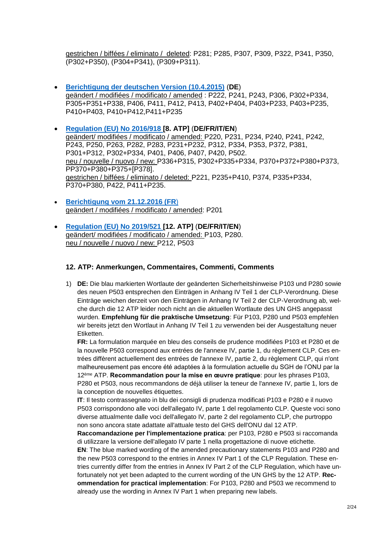gestrichen / biffées / eliminato / deleted: P281; P285, P307, P309, P322, P341, P350, (P302+P350), (P304+P341), (P309+P311).

- **[Berichtigung der deutschen Version \(10.4.2015\)](http://eur-lex.europa.eu/legal-content/FR/TXT/?uri=uriserv%3AOJ.L_.2015.094.01.0009.01.DEU)** (**DE**) geändert / modifiées / modificato / amended : P222, P241, P243, P306, P302+P334, P305+P351+P338, P406, P411, P412, P413, P402+P404, P403+P233, P403+P235, P410+P403, P410+P412,P411+P235
- **[Regulation \(EU\) No 2016/918](http://eur-lex.europa.eu/legal-content/DE/TXT/?qid=1490878535747&uri=CELEX:32016R0918) [8. ATP]** (**DE/FR/IT/EN**) geändert/ modifiées / modificato / amended: P220, P231, P234, P240, P241, P242, P243, P250, P263, P282, P283, P231+P232, P312, P334, P353, P372, P381, P301+P312, P302+P334, P401, P406, P407, P420, P502. neu / nouvelle / nuovo / new: P336+P315, P302+P335+P334, P370+P372+P380+P373, PP370+P380+P375+[P378]. gestrichen / biffées / eliminato / deleted: P221, P235+P410, P374, P335+P334, P370+P380, P422, P411+P235.
- **[Berichtigung vom 21.12.2016](http://eur-lex.europa.eu/legal-content/DE/TXT/?uri=uriserv:OJ.L_.2016.349.01.0001.01.DEU&toc=OJ:L:2016:349:TOC) (FR**) geändert / modifiées / modificato / amended: P201
- **[Regulation \(EU\) No 2019/521](https://eur-lex.europa.eu/legal-content/DE/TXT/?qid=1575639776987&uri=CELEX:32019R0521) [12. ATP]** (**DE/FR/IT/EN**) geändert/ modifiées / modificato / amended: P103, P280. neu / nouvelle / nuovo / new: P212, P503

## **12. ATP: Anmerkungen, Commentaires, Commenti, Comments**

1) **DE:** Die blau markierten Wortlaute der geänderten Sicherheitshinweise P103 und P280 sowie des neuen P503 entsprechen den Einträgen in Anhang IV Teil 1 der CLP-Verordnung. Diese Einträge weichen derzeit von den Einträgen in Anhang IV Teil 2 der CLP-Verordnung ab, welche durch die 12 ATP leider noch nicht an die aktuellen Wortlaute des UN GHS angepasst wurden. **Empfehlung für die praktische Umsetzung**: Für P103, P280 und P503 empfehlen wir bereits jetzt den Wortlaut in Anhang IV Teil 1 zu verwenden bei der Ausgestaltung neuer Etiketten.

**FR:** La formulation marquée en bleu des conseils de prudence modifiées P103 et P280 et de la nouvelle P503 correspond aux entrées de l'annexe IV, partie 1, du règlement CLP. Ces entrées diffèrent actuellement des entrées de l'annexe IV, partie 2, du règlement CLP, qui n'ont malheureusement pas encore été adaptées à la formulation actuelle du SGH de l'ONU par la 12ème ATP. **Recommandation pour la mise en œuvre pratique**: pour les phrases P103, P280 et P503, nous recommandons de déjà utiliser la teneur de l'annexe IV, partie 1, lors de la conception de nouvelles étiquettes.

**IT**: Il testo contrassegnato in blu dei consigli di prudenza modificati P103 e P280 e il nuovo P503 corrispondono alle voci dell'allegato IV, parte 1 del regolamento CLP. Queste voci sono diverse attualmente dalle voci dell'allegato IV, parte 2 del regolamento CLP, che purtroppo non sono ancora state adattate all'attuale testo del GHS dell'ONU dal 12 ATP.

**Raccomandazione per l'implementazione pratica**: per P103, P280 e P503 si raccomanda di utilizzare la versione dell'allegato IV parte 1 nella progettazione di nuove etichette.

**EN**: The blue marked wording of the amended precautionary statements P103 and P280 and the new P503 correspond to the entries in Annex IV Part 1 of the CLP Regulation. These entries currently differ from the entries in Annex IV Part 2 of the CLP Regulation, which have unfortunately not yet been adapted to the current wording of the UN GHS by the 12 ATP. **Recommendation for practical implementation**: For P103, P280 and P503 we recommend to already use the wording in Annex IV Part 1 when preparing new labels.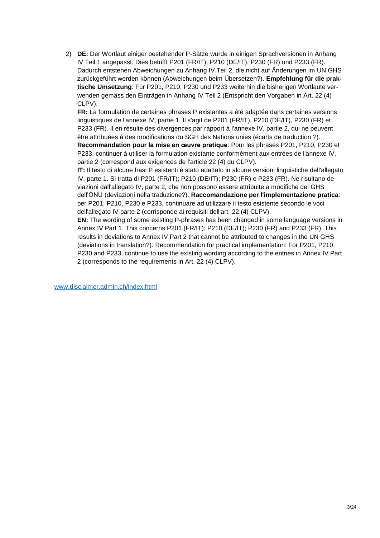2) **DE:** Der Wortlaut einiger bestehender P-Sätze wurde in einigen Sprachversionen in Anhang IV Teil 1 angepasst. Dies betrifft P201 (FR/IT); P210 (DE/IT); P230 (FR) und P233 (FR). Dadurch entstehen Abweichungen zu Anhang IV Teil 2, die nicht auf Änderungen im UN GHS zurückgeführt werden können (Abweichungen beim Übersetzen?). **Empfehlung für die praktische Umsetzung**: Für P201, P210, P230 und P233 weiterhin die bisherigen Wortlaute verwenden gemäss den Einträgen in Anhang IV Teil 2 (Entspricht den Vorgaben in Art. 22 (4) CLPV).

**FR:** La formulation de certaines phrases P existantes a été adaptée dans certaines versions linguistiques de l'annexe IV, partie 1. Il s'agit de P201 (FR/IT), P210 (DE/IT), P230 (FR) et P233 (FR). Il en résulte des divergences par rapport à l'annexe IV, partie 2, qui ne peuvent être attribuées à des modifications du SGH des Nations unies (écarts de traduction ?). **Recommandation pour la mise en œuvre pratique**: Pour les phrases P201, P210, P230 et P233, continuer à utiliser la formulation existante conformément aux entrées de l'annexe IV, partie 2 (correspond aux exigences de l'article 22 (4) du CLPV).

**IT:** Il testo di alcune frasi P esistenti è stato adattato in alcune versioni linguistiche dell'allegato IV, parte 1. Si tratta di P201 (FR/IT); P210 (DE/IT); P230 (FR) e P233 (FR). Ne risultano deviazioni dall'allegato IV, parte 2, che non possono essere attribuite a modifiche del GHS dell'ONU (deviazioni nella traduzione?). **Raccomandazione per l'implementazione pratica**: per P201, P210, P230 e P233, continuare ad utilizzare il testo esistente secondo le voci dell'allegato IV parte 2 (corrisponde ai requisiti dell'art. 22 (4) CLPV).

**EN:** The wording of some existing P-phrases has been changed in some language versions in Annex IV Part 1. This concerns P201 (FR/IT); P210 (DE/IT); P230 (FR) and P233 (FR). This results in deviations to Annex IV Part 2 that cannot be attributed to changes in the UN GHS (deviations in translation?). Recommendation for practical implementation: For P201, P210, P230 and P233, continue to use the existing wording according to the entries in Annex IV Part 2 (corresponds to the requirements in Art. 22 (4) CLPV).

[www.disclaimer.admin.ch/index.html](http://www.disclaimer.admin.ch/index.html)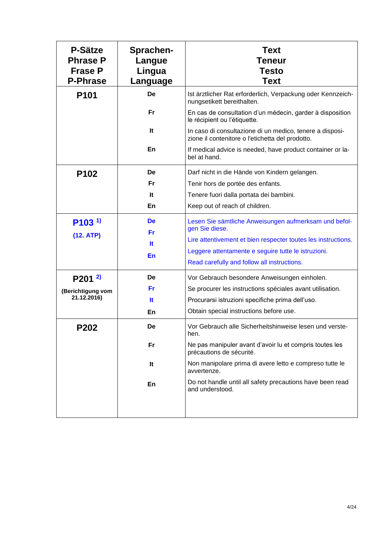| <b>P-Sätze</b><br><b>Phrase P</b><br><b>Frase P</b><br><b>P-Phrase</b> | Sprachen-<br>Langue<br>Lingua<br>Language | <b>Text</b><br>Teneur<br><b>Testo</b><br><b>Text</b>                                                         |
|------------------------------------------------------------------------|-------------------------------------------|--------------------------------------------------------------------------------------------------------------|
| P <sub>101</sub>                                                       | De                                        | Ist ärztlicher Rat erforderlich, Verpackung oder Kennzeich-<br>nungsetikett bereithalten.                    |
|                                                                        | Fr                                        | En cas de consultation d'un médecin, garder à disposition<br>le récipient ou l'étiquette.                    |
|                                                                        | It                                        | In caso di consultazione di un medico, tenere a disposi-<br>zione il contenitore o l'etichetta del prodotto. |
|                                                                        | En                                        | If medical advice is needed, have product container or la-<br>bel at hand.                                   |
| P102                                                                   | De                                        | Darf nicht in die Hände von Kindern gelangen.                                                                |
|                                                                        | Fr                                        | Tenir hors de portée des enfants.                                                                            |
|                                                                        | It                                        | Tenere fuori dalla portata dei bambini.                                                                      |
|                                                                        | En                                        | Keep out of reach of children.                                                                               |
| $P103^{1}$                                                             | De                                        | Lesen Sie sämtliche Anweisungen aufmerksam und befol-<br>gen Sie diese.                                      |
| (12. ATP)                                                              | Fr                                        | Lire attentivement et bien respecter toutes les instructions.                                                |
|                                                                        | lt.                                       | Leggere attentamente e seguire tutte le istruzioni.                                                          |
|                                                                        | En                                        | Read carefully and follow all instructions.                                                                  |
| $P201^{2}$                                                             | De                                        | Vor Gebrauch besondere Anweisungen einholen.                                                                 |
| (Berichtigung vom                                                      | Fr                                        | Se procurer les instructions spéciales avant utilisation.                                                    |
| 21.12.2016)                                                            | lt.                                       | Procurarsi istruzioni specifiche prima dell'uso.                                                             |
|                                                                        | En                                        | Obtain special instructions before use.                                                                      |
| P202                                                                   | De                                        | Vor Gebrauch alle Sicherheitshinweise lesen und verste<br>hen.                                               |
|                                                                        | Fr                                        | Ne pas manipuler avant d'avoir lu et compris toutes les<br>précautions de sécurité.                          |
|                                                                        | It                                        | Non manipolare prima di avere letto e compreso tutte le<br>avvertenze.                                       |
|                                                                        | En                                        | Do not handle until all safety precautions have been read<br>and understood.                                 |
|                                                                        |                                           |                                                                                                              |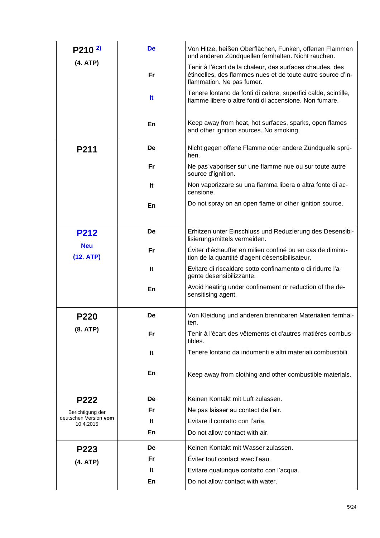| $P210^{2}$                         | <b>De</b> | Von Hitze, heißen Oberflächen, Funken, offenen Flammen<br>und anderen Zündquellen fernhalten. Nicht rauchen.                                         |
|------------------------------------|-----------|------------------------------------------------------------------------------------------------------------------------------------------------------|
| (4. ATP)                           | Fr        | Tenir à l'écart de la chaleur, des surfaces chaudes, des<br>étincelles, des flammes nues et de toute autre source d'in-<br>flammation. Ne pas fumer. |
|                                    | <b>It</b> | Tenere lontano da fonti di calore, superfici calde, scintille,<br>fiamme libere o altre fonti di accensione. Non fumare.                             |
|                                    | En        | Keep away from heat, hot surfaces, sparks, open flames<br>and other ignition sources. No smoking.                                                    |
| P211                               | De        | Nicht gegen offene Flamme oder andere Zündquelle sprü-<br>hen.                                                                                       |
|                                    | Fr        | Ne pas vaporiser sur une flamme nue ou sur toute autre<br>source d'ignition.                                                                         |
|                                    | It        | Non vaporizzare su una fiamma libera o altra fonte di ac-<br>censione.                                                                               |
|                                    | En        | Do not spray on an open flame or other ignition source.                                                                                              |
| <b>P212</b>                        | De        | Erhitzen unter Einschluss und Reduzierung des Desensibi-<br>lisierungsmittels vermeiden.                                                             |
| <b>Neu</b><br>(12. ATP)            | Fr        | Éviter d'échauffer en milieu confiné ou en cas de diminu-<br>tion de la quantité d'agent désensibilisateur.                                          |
|                                    | It        | Evitare di riscaldare sotto confinamento o di ridurre l'a-<br>gente desensibilizzante.                                                               |
|                                    | En        | Avoid heating under confinement or reduction of the de-<br>sensitising agent.                                                                        |
| P220                               | De        | Von Kleidung und anderen brennbaren Materialien fernhal-<br>ten.                                                                                     |
| (8. ATP)                           | Fr        | Tenir à l'écart des vêtements et d'autres matières combus-<br>tibles.                                                                                |
|                                    | It        | Tenere lontano da indumenti e altri materiali combustibili.                                                                                          |
|                                    | En        | Keep away from clothing and other combustible materials.                                                                                             |
| P222                               | De        | Keinen Kontakt mit Luft zulassen.                                                                                                                    |
| Berichtigung der                   | Fr        | Ne pas laisser au contact de l'air.                                                                                                                  |
| deutschen Version vom<br>10.4.2015 | It        | Evitare il contatto con l'aria.                                                                                                                      |
|                                    | En        | Do not allow contact with air.                                                                                                                       |
| P223                               | De        | Keinen Kontakt mit Wasser zulassen.                                                                                                                  |
| (4. ATP)                           | Fr.       | Éviter tout contact avec l'eau.                                                                                                                      |
|                                    | It        | Evitare qualunque contatto con l'acqua.                                                                                                              |
|                                    | En        | Do not allow contact with water.                                                                                                                     |
|                                    |           |                                                                                                                                                      |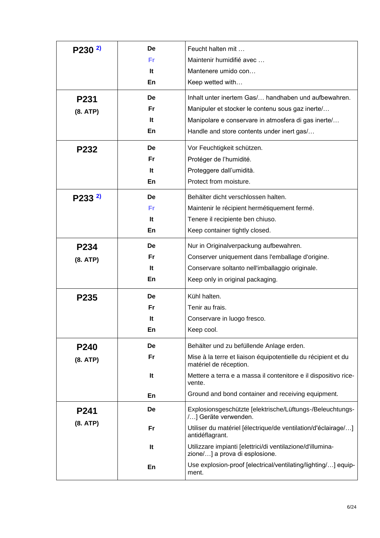| $P230^{2}$              | De<br>Fr<br>lt.<br>En  | Feucht halten mit<br>Maintenir humidifié avec<br>Mantenere umido con<br>Keep wetted with                                                                                                                                                                               |
|-------------------------|------------------------|------------------------------------------------------------------------------------------------------------------------------------------------------------------------------------------------------------------------------------------------------------------------|
| P231<br>(8. ATP)        | De<br>Fr<br>It<br>En   | Inhalt unter inertem Gas/ handhaben und aufbewahren.<br>Manipuler et stocker le contenu sous gaz inerte/<br>Manipolare e conservare in atmosfera di gas inerte/<br>Handle and store contents under inert gas/                                                          |
| P232                    | De<br>Fr<br>It<br>En   | Vor Feuchtigkeit schützen.<br>Protéger de l'humidité.<br>Proteggere dall'umidità.<br>Protect from moisture.                                                                                                                                                            |
| $P233^{2}$              | De<br>Fri<br>lt.<br>En | Behälter dicht verschlossen halten.<br>Maintenir le récipient hermétiquement fermé.<br>Tenere il recipiente ben chiuso.<br>Keep container tightly closed.                                                                                                              |
| P234<br>(8. ATP)        | De<br>Fr<br>lt.<br>En  | Nur in Originalverpackung aufbewahren.<br>Conserver uniquement dans l'emballage d'origine.<br>Conservare soltanto nell'imballaggio originale.<br>Keep only in original packaging.                                                                                      |
| P235                    | De<br>Fr<br>It<br>En   | Kühl halten.<br>Tenir au frais.<br>Conservare in luogo fresco.<br>Keep cool.                                                                                                                                                                                           |
| P240<br>(8. ATP)        | De<br>Fr<br>It<br>En   | Behälter und zu befüllende Anlage erden.<br>Mise à la terre et liaison équipotentielle du récipient et du<br>matériel de réception.<br>Mettere a terra e a massa il contenitore e il dispositivo rice-<br>vente.<br>Ground and bond container and receiving equipment. |
| <b>P241</b><br>(8. ATP) | De<br>Fr               | Explosionsgeschützte [elektrische/Lüftungs-/Beleuchtungs-<br>/] Geräte verwenden.<br>Utiliser du matériel [électrique/de ventilation/d'éclairage/]                                                                                                                     |
|                         | It                     | antidéflagrant.<br>Utilizzare impianti [elettrici/di ventilazione/d'illumina-<br>zione/] a prova di esplosione.                                                                                                                                                        |
|                         | En                     | Use explosion-proof [electrical/ventilating/lighting/] equip-<br>ment.                                                                                                                                                                                                 |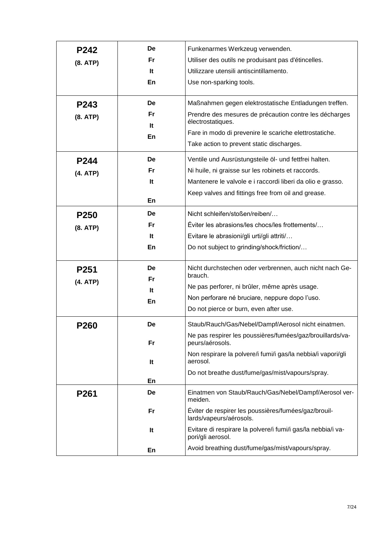|             | De | Funkenarmes Werkzeug verwenden.                                                   |
|-------------|----|-----------------------------------------------------------------------------------|
| P242        |    |                                                                                   |
| (8. ATP)    | Fr | Utiliser des outils ne produisant pas d'étincelles.                               |
|             | It | Utilizzare utensili antiscintillamento.                                           |
|             | En | Use non-sparking tools.                                                           |
| P243        | De | Maßnahmen gegen elektrostatische Entladungen treffen.                             |
| (8. ATP)    | Fr | Prendre des mesures de précaution contre les décharges                            |
|             | It | électrostatiques.                                                                 |
|             | En | Fare in modo di prevenire le scariche elettrostatiche.                            |
|             |    | Take action to prevent static discharges.                                         |
| P244        | De | Ventile und Ausrüstungsteile öl- und fettfrei halten.                             |
| (4. ATP)    | Fr | Ni huile, ni graisse sur les robinets et raccords.                                |
|             | It | Mantenere le valvole e i raccordi liberi da olio e grasso.                        |
|             |    | Keep valves and fittings free from oil and grease.                                |
|             | En |                                                                                   |
| P250        | De | Nicht schleifen/stoßen/reiben/                                                    |
| (8. ATP)    | Fr | Éviter les abrasions/les chocs/les frottements/                                   |
|             | It | Evitare le abrasioni/gli urti/gli attriti/                                        |
|             | En | Do not subject to grinding/shock/friction/                                        |
| P251        | De | Nicht durchstechen oder verbrennen, auch nicht nach Ge-                           |
| (4. ATP)    | Fr | brauch.                                                                           |
|             | It | Ne pas perforer, ni brûler, même après usage.                                     |
|             | En | Non perforare né bruciare, neppure dopo l'uso.                                    |
|             |    | Do not pierce or burn, even after use.                                            |
| <b>P260</b> | De | Staub/Rauch/Gas/Nebel/Dampf/Aerosol nicht einatmen.                               |
|             | Fr | Ne pas respirer les poussières/fumées/gaz/brouillards/va-<br>peurs/aérosols.      |
|             | It | Non respirare la polvere/i fumi/i gas/la nebbia/i vapori/gli<br>aerosol.          |
|             |    | Do not breathe dust/fume/gas/mist/vapours/spray.                                  |
|             | En |                                                                                   |
| P261        | De | Einatmen von Staub/Rauch/Gas/Nebel/Dampf/Aerosol ver-<br>meiden.                  |
|             | Fr | Éviter de respirer les poussières/fumées/gaz/brouil-<br>lards/vapeurs/aérosols.   |
|             | It | Evitare di respirare la polvere/i fumi/i gas/la nebbia/i va-<br>pori/gli aerosol. |
|             | En | Avoid breathing dust/fume/gas/mist/vapours/spray.                                 |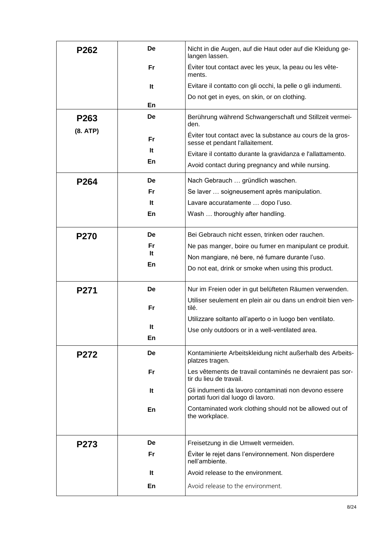| P262             | De        | Nicht in die Augen, auf die Haut oder auf die Kleidung ge-<br>langen lassen.                  |
|------------------|-----------|-----------------------------------------------------------------------------------------------|
|                  | Fr.       | Éviter tout contact avec les yeux, la peau ou les vête-<br>ments.                             |
|                  | It        | Evitare il contatto con gli occhi, la pelle o gli indumenti.                                  |
|                  |           | Do not get in eyes, on skin, or on clothing.                                                  |
|                  | En        |                                                                                               |
| P263             | De        | Berührung während Schwangerschaft und Stillzeit vermei-<br>den.                               |
| (8. ATP)         | Fr        | Éviter tout contact avec la substance au cours de la gros-<br>sesse et pendant l'allaitement. |
|                  | lt.       | Evitare il contatto durante la gravidanza e l'allattamento.                                   |
|                  | En        | Avoid contact during pregnancy and while nursing.                                             |
| P <sub>264</sub> | De        | Nach Gebrauch  gründlich waschen.                                                             |
|                  | Fr.       | Se laver  soigneusement après manipulation.                                                   |
|                  | It        | Lavare accuratamente  dopo l'uso.                                                             |
|                  | En        | Wash  thoroughly after handling.                                                              |
|                  |           |                                                                                               |
| <b>P270</b>      | De        | Bei Gebrauch nicht essen, trinken oder rauchen.                                               |
|                  | Fr        | Ne pas manger, boire ou fumer en manipulant ce produit.                                       |
|                  | It        | Non mangiare, né bere, né fumare durante l'uso.                                               |
|                  | En        | Do not eat, drink or smoke when using this product.                                           |
|                  |           |                                                                                               |
| P271             | De        | Nur im Freien oder in gut belüfteten Räumen verwenden.                                        |
|                  | Fr        | Utiliser seulement en plein air ou dans un endroit bien ven-<br>tilé.                         |
|                  |           | Utilizzare soltanto all'aperto o in luogo ben ventilato.                                      |
|                  | It        | Use only outdoors or in a well-ventilated area.                                               |
|                  | En        |                                                                                               |
| <b>P272</b>      | De        | Kontaminierte Arbeitskleidung nicht außerhalb des Arbeits-<br>platzes tragen.                 |
|                  | <b>Fr</b> | Les vêtements de travail contaminés ne devraient pas sor-<br>tir du lieu de travail.          |
|                  | It        | Gli indumenti da lavoro contaminati non devono essere<br>portati fuori dal luogo di lavoro.   |
|                  | En        | Contaminated work clothing should not be allowed out of<br>the workplace.                     |
|                  | De        |                                                                                               |
| P273             |           | Freisetzung in die Umwelt vermeiden.                                                          |
|                  | Fr        | Éviter le rejet dans l'environnement. Non disperdere<br>nell'ambiente.                        |
|                  | lt.       | Avoid release to the environment.                                                             |
|                  | En        | Avoid release to the environment.                                                             |
|                  |           |                                                                                               |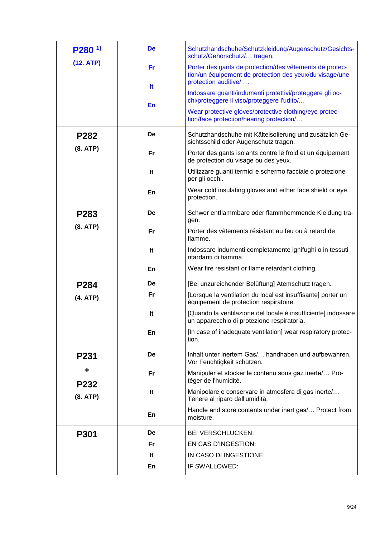| $P280^{1}$  | De        | Schutzhandschuhe/Schutzkleidung/Augenschutz/Gesichts-<br>schutz/Gehörschutz/ tragen.                                                       |
|-------------|-----------|--------------------------------------------------------------------------------------------------------------------------------------------|
| (12. ATP)   | Fr        | Porter des gants de protection/des vêtements de protec-<br>tion/un équipement de protection des yeux/du visage/une<br>protection auditive/ |
|             | <b>It</b> | Indossare guanti/indumenti protettivi/proteggere gli oc-<br>chi/proteggere il viso/proteggere l'udito/                                     |
|             | En        | Wear protective gloves/protective clothing/eye protec-<br>tion/face protection/hearing protection/                                         |
| <b>P282</b> | De        | Schutzhandschuhe mit Kälteisolierung und zusätzlich Ge-<br>sichtsschild oder Augenschutz tragen.                                           |
| (8. ATP)    | Fr        | Porter des gants isolants contre le froid et un équipement<br>de protection du visage ou des yeux.                                         |
|             | It        | Utilizzare guanti termici e schermo facciale o protezione<br>per gli occhi.                                                                |
|             | En        | Wear cold insulating gloves and either face shield or eye<br>protection.                                                                   |
| P283        | De        | Schwer entflammbare oder flammhemmende Kleidung tra-<br>gen.                                                                               |
| (8. ATP)    | Fr        | Porter des vêtements résistant au feu ou à retard de<br>flamme.                                                                            |
|             | It        | Indossare indumenti completamente ignifughi o in tessuti<br>ritardanti di fiamma.                                                          |
|             | En        | Wear fire resistant or flame retardant clothing.                                                                                           |
| P284        | De        | [Bei unzureichender Belüftung] Atemschutz tragen.                                                                                          |
| (4. ATP)    | Fr        | [Lorsque la ventilation du local est insuffisante] porter un<br>équipement de protection respiratoire.                                     |
|             | It        | [Quando la ventilazione del locale è insufficiente] indossare<br>un apparecchio di protezione respiratoria.                                |
|             | En        | [In case of inadequate ventilation] wear respiratory protec-<br>tion.                                                                      |
| P231        | De        | Inhalt unter inertem Gas/ handhaben und aufbewahren.<br>Vor Feuchtigkeit schützen.                                                         |
| ┿<br>P232   | <b>Fr</b> | Manipuler et stocker le contenu sous gaz inerte/ Pro-<br>téger de l'humidité.                                                              |
| (8. ATP)    | It        | Manipolare e conservare in atmosfera di gas inerte/<br>Tenere al riparo dall'umidità.                                                      |
|             | En        | Handle and store contents under inert gas/ Protect from<br>moisture.                                                                       |
| <b>P301</b> | De        | <b>BEI VERSCHLUCKEN:</b>                                                                                                                   |
|             | <b>Fr</b> | EN CAS D'INGESTION:                                                                                                                        |
|             | It        | IN CASO DI INGESTIONE:                                                                                                                     |
|             | En        | IF SWALLOWED:                                                                                                                              |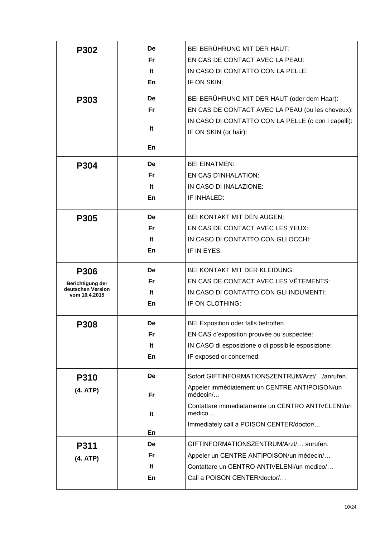| P302                                  | De        | <b>BEI BERÜHRUNG MIT DER HAUT:</b>                          |
|---------------------------------------|-----------|-------------------------------------------------------------|
|                                       | Fr        | EN CAS DE CONTACT AVEC LA PEAU:                             |
|                                       | It        | IN CASO DI CONTATTO CON LA PELLE:                           |
|                                       | En        | IF ON SKIN:                                                 |
| P303                                  | De        | BEI BERÜHRUNG MIT DER HAUT (oder dem Haar):                 |
|                                       | Fr        | EN CAS DE CONTACT AVEC LA PEAU (ou les cheveux):            |
|                                       |           | IN CASO DI CONTATTO CON LA PELLE (o con i capelli):         |
|                                       | It        | IF ON SKIN (or hair):                                       |
|                                       | En        |                                                             |
|                                       |           |                                                             |
| P304                                  | De        | <b>BEI EINATMEN:</b>                                        |
|                                       | Fr.       | EN CAS D'INHALATION:                                        |
|                                       | It        | IN CASO DI INALAZIONE:                                      |
|                                       | En        | IF INHALED:                                                 |
| P305                                  | De        | <b>BEI KONTAKT MIT DEN AUGEN:</b>                           |
|                                       | Fr        | EN CAS DE CONTACT AVEC LES YEUX:                            |
|                                       | lt.       | IN CASO DI CONTATTO CON GLI OCCHI:                          |
|                                       | En        | IF IN EYES:                                                 |
|                                       | De        | <b>BEI KONTAKT MIT DER KLEIDUNG:</b>                        |
|                                       |           |                                                             |
| <b>P306</b>                           |           |                                                             |
| Berichtigung der<br>deutschen Version | Fr        | EN CAS DE CONTACT AVEC LES VÊTEMENTS:                       |
| vom 10.4.2015                         | It        | IN CASO DI CONTATTO CON GLI INDUMENTI:                      |
|                                       | En        | IF ON CLOTHING:                                             |
| P308                                  | De        | BEI Exposition oder falls betroffen                         |
|                                       | <b>Fr</b> | EN CAS d'exposition prouvée ou suspectée:                   |
|                                       | It        | IN CASO di esposizione o di possibile esposizione:          |
|                                       | En        | IF exposed or concerned:                                    |
| <b>P310</b>                           | De        | Sofort GIFTINFORMATIONSZENTRUM/Arzt//anrufen.               |
| (4. ATP)                              | <b>Fr</b> | Appeler immédiatement un CENTRE ANTIPOISON/un<br>médecin/   |
|                                       | It        | Contattare immediatamente un CENTRO ANTIVELENI/un<br>medico |
|                                       |           | Immediately call a POISON CENTER/doctor/                    |
|                                       | En        |                                                             |
| P311                                  | De        | GIFTINFORMATIONSZENTRUM/Arzt/ anrufen.                      |
| (4. ATP)                              | <b>Fr</b> | Appeler un CENTRE ANTIPOISON/un médecin/                    |
|                                       | It        | Contattare un CENTRO ANTIVELENI/un medico/                  |
|                                       | En        | Call a POISON CENTER/doctor/                                |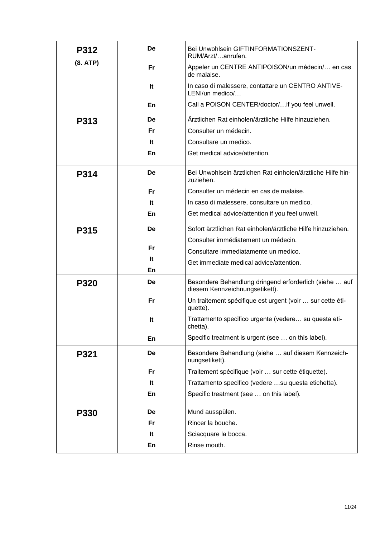| <b>P312</b> | De  | Bei Unwohlsein GIFTINFORMATIONSZENT-<br>RUM/Arzt/anrufen.                                |
|-------------|-----|------------------------------------------------------------------------------------------|
| (8. ATP)    | Fr. | Appeler un CENTRE ANTIPOISON/un médecin/ en cas<br>de malaise.                           |
|             | It  | In caso di malessere, contattare un CENTRO ANTIVE-<br>LENI/un medico/                    |
|             | En  | Call a POISON CENTER/doctor/if you feel unwell.                                          |
| <b>P313</b> | De  | Ärztlichen Rat einholen/ärztliche Hilfe hinzuziehen.                                     |
|             | Fr. | Consulter un médecin.                                                                    |
|             | It  | Consultare un medico.                                                                    |
|             | En  | Get medical advice/attention.                                                            |
| <b>P314</b> | De  | Bei Unwohlsein ärztlichen Rat einholen/ärztliche Hilfe hin-<br>zuziehen.                 |
|             | Fr  | Consulter un médecin en cas de malaise.                                                  |
|             | It  | In caso di malessere, consultare un medico.                                              |
|             | En  | Get medical advice/attention if you feel unwell.                                         |
| P315        | De  | Sofort ärztlichen Rat einholen/ärztliche Hilfe hinzuziehen.                              |
|             |     | Consulter immédiatement un médecin.                                                      |
|             | Fr  | Consultare immediatamente un medico.                                                     |
|             | It  | Get immediate medical advice/attention.                                                  |
|             | En  |                                                                                          |
| P320        | De  | Besondere Behandlung dringend erforderlich (siehe  auf<br>diesem Kennzeichnungsetikett). |
|             | Fr  | Un traitement spécifique est urgent (voir  sur cette éti-<br>quette).                    |
|             | It  | Trattamento specifico urgente (vedere su questa eti-<br>chetta).                         |
|             | En  | Specific treatment is urgent (see  on this label).                                       |
| P321        | De  | Besondere Behandlung (siehe  auf diesem Kennzeich-<br>nungsetikett).                     |
|             | Fr  | Traitement spécifique (voir  sur cette étiquette).                                       |
|             | It  | Trattamento specifico (vedere  su questa etichetta).                                     |
|             | En  | Specific treatment (see  on this label).                                                 |
| <b>P330</b> | De  | Mund ausspülen.                                                                          |
|             | Fr  | Rincer la bouche.                                                                        |
|             | It  | Sciacquare la bocca.                                                                     |
|             | En  | Rinse mouth.                                                                             |
|             |     |                                                                                          |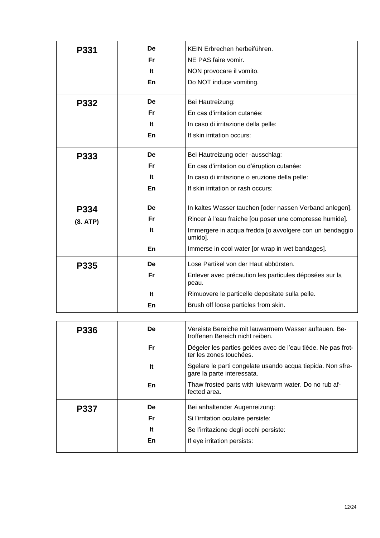| <b>P331</b> | De | KEIN Erbrechen herbeiführen.                                                             |
|-------------|----|------------------------------------------------------------------------------------------|
|             | Fr | NE PAS faire vomir.                                                                      |
|             | It | NON provocare il vomito.                                                                 |
|             | En | Do NOT induce vomiting.                                                                  |
|             |    |                                                                                          |
| <b>P332</b> | De | Bei Hautreizung:                                                                         |
|             | Fr | En cas d'irritation cutanée:                                                             |
|             | It | In caso di irritazione della pelle:                                                      |
|             | En | If skin irritation occurs:                                                               |
| P333        | De | Bei Hautreizung oder -ausschlag:                                                         |
|             | Fr | En cas d'irritation ou d'éruption cutanée:                                               |
|             | It | In caso di irritazione o eruzione della pelle:                                           |
|             | En | If skin irritation or rash occurs:                                                       |
| P334        | De | In kaltes Wasser tauchen [oder nassen Verband anlegen].                                  |
| (8. ATP)    | Fr | Rincer à l'eau fraîche [ou poser une compresse humide].                                  |
|             | It | Immergere in acqua fredda [o avvolgere con un bendaggio<br>umido].                       |
|             | En | Immerse in cool water [or wrap in wet bandages].                                         |
| P335        | De | Lose Partikel von der Haut abbürsten.                                                    |
|             | Fr | Enlever avec précaution les particules déposées sur la<br>peau.                          |
|             | It | Rimuovere le particelle depositate sulla pelle.                                          |
|             | En | Brush off loose particles from skin.                                                     |
|             |    |                                                                                          |
| <b>P336</b> | De | Vereiste Bereiche mit lauwarmem Wasser auftauen. Be-<br>troffenen Bereich nicht reiben.  |
|             | Fr | Dégeler les parties gelées avec de l'eau tiède. Ne pas frot-<br>ter les zones touchées.  |
|             | It | Sgelare le parti congelate usando acqua tiepida. Non sfre-<br>gare la parte interessata. |
|             | En | Thaw frosted parts with lukewarm water. Do no rub af-<br>fected area.                    |
| P337        | De | Bei anhaltender Augenreizung:                                                            |
|             | Fr | Si l'irritation oculaire persiste:                                                       |
|             | It | Se l'irritazione degli occhi persiste:                                                   |
|             | En | If eye irritation persists:                                                              |
|             |    |                                                                                          |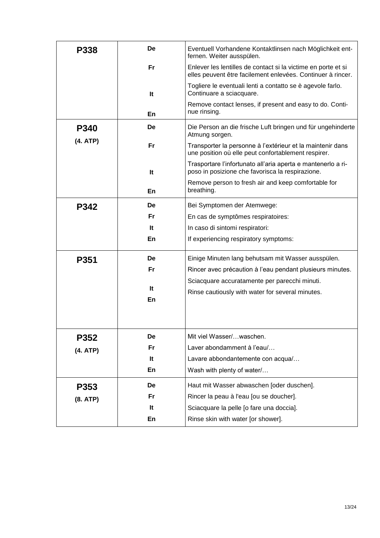| <b>P338</b> | De        | Eventuell Vorhandene Kontaktlinsen nach Möglichkeit ent-<br>fernen. Weiter ausspülen.                                        |
|-------------|-----------|------------------------------------------------------------------------------------------------------------------------------|
|             | <b>Fr</b> | Enlever les lentilles de contact si la victime en porte et si<br>elles peuvent être facilement enlevées. Continuer à rincer. |
|             | It        | Togliere le eventuali lenti a contatto se è agevole farlo.<br>Continuare a sciacquare.                                       |
|             | En        | Remove contact lenses, if present and easy to do. Conti-<br>nue rinsing.                                                     |
| <b>P340</b> | De        | Die Person an die frische Luft bringen und für ungehinderte<br>Atmung sorgen.                                                |
| (4. ATP)    | Fr        | Transporter la personne à l'extérieur et la maintenir dans<br>une position où elle peut confortablement respirer.            |
|             | It        | Trasportare l'infortunato all'aria aperta e mantenerlo a ri-<br>poso in posizione che favorisca la respirazione.             |
|             | En        | Remove person to fresh air and keep comfortable for<br>breathing.                                                            |
| P342        | De        | Bei Symptomen der Atemwege:                                                                                                  |
|             | Fr        | En cas de symptômes respiratoires:                                                                                           |
|             | It        | In caso di sintomi respiratori:                                                                                              |
|             | En        | If experiencing respiratory symptoms:                                                                                        |
| P351        | De        | Einige Minuten lang behutsam mit Wasser ausspülen.                                                                           |
|             | Fr        | Rincer avec précaution à l'eau pendant plusieurs minutes.                                                                    |
|             |           | Sciacquare accuratamente per parecchi minuti.                                                                                |
|             | lt.       | Rinse cautiously with water for several minutes.                                                                             |
|             | En        |                                                                                                                              |
|             |           |                                                                                                                              |
| P352        | De        | Mit viel Wasser/waschen.                                                                                                     |
| (4. ATP)    | Fr        | Laver abondamment à l'eau/                                                                                                   |
|             | It        | Lavare abbondantemente con acqua/                                                                                            |
|             | En        | Wash with plenty of water/                                                                                                   |
| P353        | De        | Haut mit Wasser abwaschen [oder duschen].                                                                                    |
| (8. ATP)    | <b>Fr</b> | Rincer la peau à l'eau [ou se doucher].                                                                                      |
|             | It        | Sciacquare la pelle [o fare una doccia].                                                                                     |
|             | En        | Rinse skin with water [or shower].                                                                                           |
|             |           |                                                                                                                              |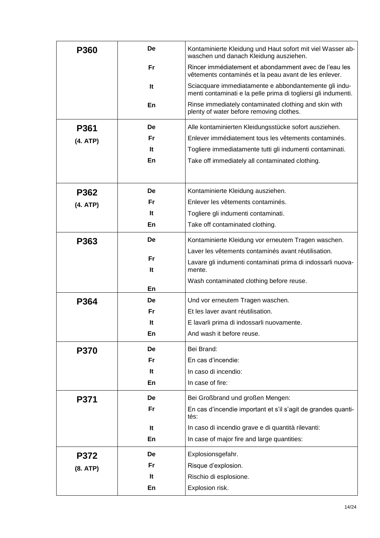| <b>P360</b> | De | Kontaminierte Kleidung und Haut sofort mit viel Wasser ab-<br>waschen und danach Kleidung ausziehen.                    |
|-------------|----|-------------------------------------------------------------------------------------------------------------------------|
|             | Fr | Rincer immédiatement et abondamment avec de l'eau les<br>vêtements contaminés et la peau avant de les enlever.          |
|             | It | Sciacquare immediatamente e abbondantemente gli indu-<br>menti contaminati e la pelle prima di togliersi gli indumenti. |
|             | En | Rinse immediately contaminated clothing and skin with<br>plenty of water before removing clothes.                       |
| P361        | De | Alle kontaminierten Kleidungsstücke sofort ausziehen.                                                                   |
| (4. ATP)    | Fr | Enlever immédiatement tous les vêtements contaminés.                                                                    |
|             | It | Togliere immediatamente tutti gli indumenti contaminati.                                                                |
|             | En | Take off immediately all contaminated clothing.                                                                         |
|             |    |                                                                                                                         |
| P362        | De | Kontaminierte Kleidung ausziehen.                                                                                       |
| (4. ATP)    | Fr | Enlever les vêtements contaminés.                                                                                       |
|             | It | Togliere gli indumenti contaminati.                                                                                     |
|             | En | Take off contaminated clothing.                                                                                         |
| P363        | De | Kontaminierte Kleidung vor erneutem Tragen waschen.                                                                     |
|             |    | Laver les vêtements contaminés avant réutilisation.                                                                     |
|             | Fr | Lavare gli indumenti contaminati prima di indossarli nuova-                                                             |
|             | It | mente.                                                                                                                  |
|             | En | Wash contaminated clothing before reuse.                                                                                |
| P364        | De | Und vor erneutem Tragen waschen.                                                                                        |
|             | Fr | Et les laver avant réutilisation.                                                                                       |
|             | It | E lavarli prima di indossarli nuovamente.                                                                               |
|             | En | And wash it before reuse.                                                                                               |
| <b>P370</b> | De | Bei Brand:                                                                                                              |
|             | Fr | En cas d'incendie:                                                                                                      |
|             | It | In caso di incendio:                                                                                                    |
|             | En | In case of fire:                                                                                                        |
| P371        | De | Bei Großbrand und großen Mengen:                                                                                        |
|             | Fr | En cas d'incendie important et s'il s'agit de grandes quanti-<br>tés:                                                   |
|             | It | In caso di incendio grave e di quantità rilevanti:                                                                      |
|             | En | In case of major fire and large quantities:                                                                             |
| <b>P372</b> | De | Explosionsgefahr.                                                                                                       |
| (8. ATP)    | Fr | Risque d'explosion.                                                                                                     |
|             | It | Rischio di esplosione.                                                                                                  |
|             | En | Explosion risk.                                                                                                         |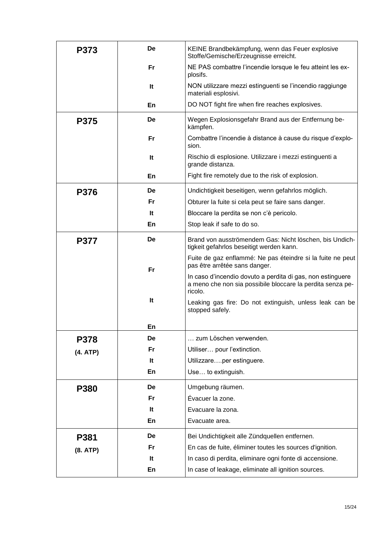| <b>P373</b> | De        | KEINE Brandbekämpfung, wenn das Feuer explosive<br>Stoffe/Gemische/Erzeugnisse erreicht.                                            |
|-------------|-----------|-------------------------------------------------------------------------------------------------------------------------------------|
|             | Fr        | NE PAS combattre l'incendie lorsque le feu atteint les ex-<br>plosifs.                                                              |
|             | It        | NON utilizzare mezzi estinguenti se l'incendio raggiunge<br>materiali esplosivi.                                                    |
|             | En        | DO NOT fight fire when fire reaches explosives.                                                                                     |
| <b>P375</b> | De        | Wegen Explosionsgefahr Brand aus der Entfernung be-<br>kämpfen.                                                                     |
|             | Fr        | Combattre l'incendie à distance à cause du risque d'explo-<br>sion.                                                                 |
|             | It        | Rischio di esplosione. Utilizzare i mezzi estinguenti a<br>grande distanza.                                                         |
|             | En        | Fight fire remotely due to the risk of explosion.                                                                                   |
| <b>P376</b> | De        | Undichtigkeit beseitigen, wenn gefahrlos möglich.                                                                                   |
|             | Fr        | Obturer la fuite si cela peut se faire sans danger.                                                                                 |
|             | It        | Bloccare la perdita se non c'è pericolo.                                                                                            |
|             | En        | Stop leak if safe to do so.                                                                                                         |
| <b>P377</b> | De        | Brand von ausströmendem Gas: Nicht löschen, bis Undich-<br>tigkeit gefahrlos beseitigt werden kann.                                 |
|             | <b>Fr</b> | Fuite de gaz enflammé: Ne pas éteindre si la fuite ne peut<br>pas être arrêtée sans danger.                                         |
|             |           | In caso d'incendio dovuto a perdita di gas, non estinguere<br>a meno che non sia possibile bloccare la perdita senza pe-<br>ricolo. |
|             | It        | Leaking gas fire: Do not extinguish, unless leak can be<br>stopped safely.                                                          |
|             | ьn        |                                                                                                                                     |
| P378        | De        | zum Löschen verwenden.                                                                                                              |
| (4. ATP)    | Fr        | Utiliser pour l'extinction.                                                                                                         |
|             | It        | Utilizzareper estinguere.                                                                                                           |
|             | En        | Use to extinguish.                                                                                                                  |
| P380        | De        | Umgebung räumen.                                                                                                                    |
|             | Fr        | Évacuer la zone.                                                                                                                    |
|             | It        | Evacuare la zona.                                                                                                                   |
|             | En        | Evacuate area.                                                                                                                      |
| P381        | De        | Bei Undichtigkeit alle Zündquellen entfernen.                                                                                       |
| (8. ATP)    | Fr        | En cas de fuite, éliminer toutes les sources d'ignition.                                                                            |
|             | It        | In caso di perdita, eliminare ogni fonte di accensione.                                                                             |
|             | En        | In case of leakage, eliminate all ignition sources.                                                                                 |
|             |           |                                                                                                                                     |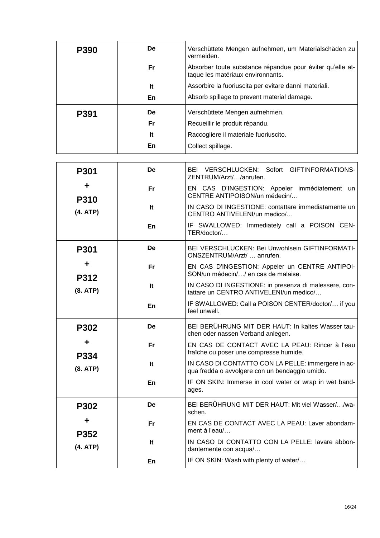| P390 | <b>De</b>                                   | Verschüttete Mengen aufnehmen, um Materialschäden zu<br>vermeiden.                             |  |
|------|---------------------------------------------|------------------------------------------------------------------------------------------------|--|
|      | Fr                                          | Absorber toute substance répandue pour éviter qu'elle at-<br>taque les matériaux environnants. |  |
|      | It                                          | Assorbire la fuoriuscita per evitare danni materiali.                                          |  |
|      | En                                          | Absorb spillage to prevent material damage.                                                    |  |
| P391 | <b>De</b><br>Verschüttete Mengen aufnehmen. |                                                                                                |  |
|      | Fr                                          | Recueillir le produit répandu.                                                                 |  |
|      | It                                          | Raccogliere il materiale fuoriuscito.                                                          |  |
|      | En                                          | Collect spillage.                                                                              |  |

| <b>P301</b>      | De        | BEI VERSCHLUCKEN: Sofort GIFTINFORMATIONS-<br>ZENTRUM/Arzt//anrufen.                                 |
|------------------|-----------|------------------------------------------------------------------------------------------------------|
| ┿<br><b>P310</b> | <b>Fr</b> | EN CAS D'INGESTION: Appeler immédiatement un<br>CENTRE ANTIPOISON/un médecin/                        |
| (4. ATP)         | lt.       | IN CASO DI INGESTIONE: contattare immediatamente un<br>CENTRO ANTIVELENI/un medico/                  |
|                  | En        | IF SWALLOWED: Immediately call a POISON CEN-<br>TER/doctor/                                          |
| <b>P301</b>      | De        | BEI VERSCHLUCKEN: Bei Unwohlsein GIFTINFORMATI-<br>ONSZENTRUM/Arzt/  anrufen.                        |
| ÷<br>P312        | <b>Fr</b> | EN CAS D'INGESTION: Appeler un CENTRE ANTIPOI-<br>SON/un médecin// en cas de malaise.                |
| (8. ATP)         | It        | IN CASO DI INGESTIONE: in presenza di malessere, con-<br>tattare un CENTRO ANTIVELENI/un medico/     |
|                  | En        | IF SWALLOWED: Call a POISON CENTER/doctor/ if you<br>feel unwell.                                    |
| <b>P302</b>      | De        | BEI BERÜHRUNG MIT DER HAUT: In kaltes Wasser tau-<br>chen oder nassen Verband anlegen.               |
| ╈<br>P334        | <b>Fr</b> | EN CAS DE CONTACT AVEC LA PEAU: Rincer à l'eau<br>fraîche ou poser une compresse humide.             |
| (8. ATP)         | lt.       | IN CASO DI CONTATTO CON LA PELLE: immergere in ac-<br>qua fredda o avvolgere con un bendaggio umido. |
|                  | En        | IF ON SKIN: Immerse in cool water or wrap in wet band-<br>ages.                                      |
| P302             | De        | BEI BERÜHRUNG MIT DER HAUT: Mit viel Wasser//wa-<br>schen.                                           |
| ÷<br>P352        | <b>Fr</b> | EN CAS DE CONTACT AVEC LA PEAU: Laver abondam-<br>ment à l'eau/                                      |
| (4. ATP)         | It        | IN CASO DI CONTATTO CON LA PELLE: lavare abbon-<br>dantemente con acqua/                             |
|                  | En        | IF ON SKIN: Wash with plenty of water/                                                               |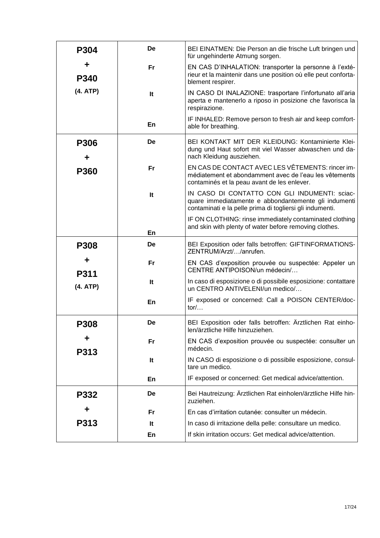| P304             | De | BEI EINATMEN: Die Person an die frische Luft bringen und<br>für ungehinderte Atmung sorgen.                                                                       |
|------------------|----|-------------------------------------------------------------------------------------------------------------------------------------------------------------------|
| ╈<br>P340        | Fr | EN CAS D'INHALATION: transporter la personne à l'exté-<br>rieur et la maintenir dans une position où elle peut conforta-<br>blement respirer.                     |
| (4. ATP)         | It | IN CASO DI INALAZIONE: trasportare l'infortunato all'aria<br>aperta e mantenerlo a riposo in posizione che favorisca la<br>respirazione.                          |
|                  | En | IF INHALED: Remove person to fresh air and keep comfort-<br>able for breathing.                                                                                   |
| <b>P306</b><br>┿ | De | BEI KONTAKT MIT DER KLEIDUNG: Kontaminierte Klei-<br>dung und Haut sofort mit viel Wasser abwaschen und da-<br>nach Kleidung ausziehen.                           |
| <b>P360</b>      | Fr | EN CAS DE CONTACT AVEC LES VÊTEMENTS: rincer im-<br>médiatement et abondamment avec de l'eau les vêtements<br>contaminés et la peau avant de les enlever.         |
|                  | It | IN CASO DI CONTATTO CON GLI INDUMENTI: sciac-<br>quare immediatamente e abbondantemente gli indumenti<br>contaminati e la pelle prima di togliersi gli indumenti. |
|                  | En | IF ON CLOTHING: rinse immediately contaminated clothing<br>and skin with plenty of water before removing clothes.                                                 |
| <b>P308</b>      | De | BEI Exposition oder falls betroffen: GIFTINFORMATIONS-<br>ZENTRUM/Arzt//anrufen.                                                                                  |
| ╈<br><b>P311</b> | Fr | EN CAS d'exposition prouvée ou suspectée: Appeler un<br>CENTRE ANTIPOISON/un médecin/                                                                             |
| (4. ATP)         | It | In caso di esposizione o di possibile esposizione: contattare<br>un CENTRO ANTIVELENI/un medico/                                                                  |
|                  | En | IF exposed or concerned: Call a POISON CENTER/doc-<br>tor/                                                                                                        |
| <b>P308</b>      | De | BEI Exposition oder falls betroffen: Ärztlichen Rat einho-<br>len/ärztliche Hilfe hinzuziehen.                                                                    |
| ÷<br>P313        | Fr | EN CAS d'exposition prouvée ou suspectée: consulter un<br>médecin.                                                                                                |
|                  | It | IN CASO di esposizione o di possibile esposizione, consul-<br>tare un medico.                                                                                     |
|                  | En | IF exposed or concerned: Get medical advice/attention.                                                                                                            |
| P332             | De | Bei Hautreizung: Ärztlichen Rat einholen/ärztliche Hilfe hin-<br>zuziehen.                                                                                        |
|                  | Fr | En cas d'irritation cutanée: consulter un médecin.                                                                                                                |
| P313             | It | In caso di irritazione della pelle: consultare un medico.                                                                                                         |
|                  | En | If skin irritation occurs: Get medical advice/attention.                                                                                                          |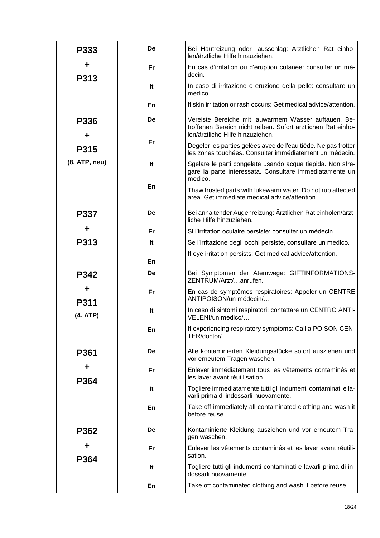| P333          | De        | Bei Hautreizung oder -ausschlag: Ärztlichen Rat einho-<br>len/ärztliche Hilfe hinzuziehen.                                                               |  |
|---------------|-----------|----------------------------------------------------------------------------------------------------------------------------------------------------------|--|
| P313          | Fr.       | En cas d'irritation ou d'éruption cutanée: consulter un mé-<br>decin.                                                                                    |  |
|               | It        | In caso di irritazione o eruzione della pelle: consultare un<br>medico.                                                                                  |  |
|               | En        | If skin irritation or rash occurs: Get medical advice/attention.                                                                                         |  |
| P336          | De        | Vereiste Bereiche mit lauwarmem Wasser auftauen. Be-<br>troffenen Bereich nicht reiben. Sofort ärztlichen Rat einho-<br>len/ärztliche Hilfe hinzuziehen. |  |
| P315          | Fr        | Dégeler les parties gelées avec de l'eau tiède. Ne pas frotter<br>les zones touchées. Consulter immédiatement un médecin.                                |  |
| (8. ATP, neu) | It        | Sgelare le parti congelate usando acqua tiepida. Non sfre-<br>gare la parte interessata. Consultare immediatamente un<br>medico.                         |  |
|               | En        | Thaw frosted parts with lukewarm water. Do not rub affected<br>area. Get immediate medical advice/attention.                                             |  |
| P337          | De        | Bei anhaltender Augenreizung: Ärztlichen Rat einholen/ärzt-<br>liche Hilfe hinzuziehen.                                                                  |  |
|               | Fr        | Si l'irritation oculaire persiste: consulter un médecin.                                                                                                 |  |
| P313          | It        | Se l'irritazione degli occhi persiste, consultare un medico.                                                                                             |  |
|               | En        | If eye irritation persists: Get medical advice/attention.                                                                                                |  |
|               | De        | Bei Symptomen der Atemwege: GIFTINFORMATIONS-                                                                                                            |  |
| P342          |           | ZENTRUM/Arzt/anrufen.                                                                                                                                    |  |
| <b>P311</b>   | Fr        | En cas de symptômes respiratoires: Appeler un CENTRE<br>ANTIPOISON/un médecin/                                                                           |  |
| (4. ATP)      | It        | In caso di sintomi respiratori: contattare un CENTRO ANTI-<br>VELENI/un medico/                                                                          |  |
|               | En        | If experiencing respiratory symptoms: Call a POISON CEN-<br>TER/doctor/                                                                                  |  |
| P361          | De        | Alle kontaminierten Kleidungsstücke sofort ausziehen und<br>vor erneutem Tragen waschen.                                                                 |  |
| ╋<br>P364     | Fr        | Enlever immédiatement tous les vêtements contaminés et<br>les laver avant réutilisation.                                                                 |  |
|               | It        | Togliere immediatamente tutti gli indumenti contaminati e la-<br>varli prima di indossarli nuovamente.                                                   |  |
|               | En        | Take off immediately all contaminated clothing and wash it<br>before reuse.                                                                              |  |
| P362          | De        | Kontaminierte Kleidung ausziehen und vor erneutem Tra-<br>gen waschen.                                                                                   |  |
| ÷<br>P364     | <b>Fr</b> | Enlever les vêtements contaminés et les laver avant réutili-<br>sation.                                                                                  |  |
|               | It        | Togliere tutti gli indumenti contaminati e lavarli prima di in-<br>dossarli nuovamente.                                                                  |  |
|               | En        | Take off contaminated clothing and wash it before reuse.                                                                                                 |  |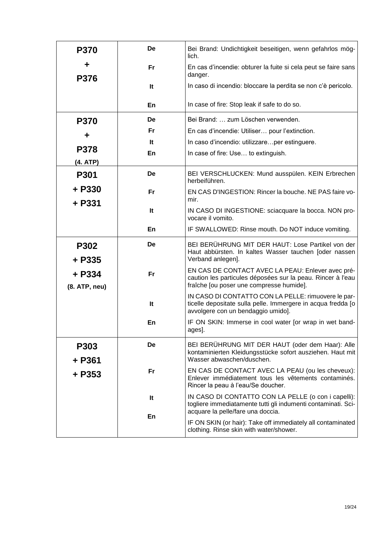| <b>P370</b>             | De  | Bei Brand: Undichtigkeit beseitigen, wenn gefahrlos mög-<br>lich.                                                                                            |  |
|-------------------------|-----|--------------------------------------------------------------------------------------------------------------------------------------------------------------|--|
| ╋<br><b>P376</b>        | Fr  | En cas d'incendie: obturer la fuite si cela peut se faire sans<br>danger.                                                                                    |  |
|                         | lt. | In caso di incendio: bloccare la perdita se non c'è pericolo.                                                                                                |  |
|                         | En  | In case of fire: Stop leak if safe to do so.                                                                                                                 |  |
| <b>P370</b>             | De  | Bei Brand:  zum Löschen verwenden.                                                                                                                           |  |
| ÷                       | Fr  | En cas d'incendie: Utiliser pour l'extinction.                                                                                                               |  |
|                         | lt. | In caso d'incendio: utilizzareper estinguere.                                                                                                                |  |
| P378                    | En  | In case of fire: Use to extinguish.                                                                                                                          |  |
| (4. ATP)                |     |                                                                                                                                                              |  |
| <b>P301</b>             | De  | BEI VERSCHLUCKEN: Mund ausspülen. KEIN Erbrechen<br>herbeiführen.                                                                                            |  |
| + P330<br>+ P331        | Fr  | EN CAS D'INGESTION: Rincer la bouche. NE PAS faire vo-<br>mir.                                                                                               |  |
|                         | It  | IN CASO DI INGESTIONE: sciacquare la bocca. NON pro-<br>vocare il vomito.                                                                                    |  |
|                         | En  | IF SWALLOWED: Rinse mouth. Do NOT induce vomiting.                                                                                                           |  |
| P302<br>+ P335          | De  | BEI BERÜHRUNG MIT DER HAUT: Lose Partikel von der<br>Haut abbürsten. In kaltes Wasser tauchen [oder nassen<br>Verband anlegen].                              |  |
| + P334<br>(8. ATP, neu) | Fr  | EN CAS DE CONTACT AVEC LA PEAU: Enlever avec pré-<br>caution les particules déposées sur la peau. Rincer à l'eau<br>fraîche [ou poser une compresse humide]. |  |
|                         | It  | IN CASO DI CONTATTO CON LA PELLE: rimuovere le par-<br>ticelle depositate sulla pelle. Immergere in acqua fredda [o<br>avvolgere con un bendaggio umido].    |  |
|                         | En  | IF ON SKIN: Immerse in cool water [or wrap in wet band-<br>ages].                                                                                            |  |
| P303<br>+ P361          | De  | BEI BERÜHRUNG MIT DER HAUT (oder dem Haar): Alle<br>kontaminierten Kleidungsstücke sofort ausziehen. Haut mit<br>Wasser abwaschen/duschen.                   |  |
| + P353                  | Fr  | EN CAS DE CONTACT AVEC LA PEAU (ou les cheveux):<br>Enlever immédiatement tous les vêtements contaminés.<br>Rincer la peau à l'eau/Se doucher.               |  |
|                         | It  | IN CASO DI CONTATTO CON LA PELLE (o con i capelli):<br>togliere immediatamente tutti gli indumenti contaminati. Sci-<br>acquare la pelle/fare una doccia.    |  |
|                         | En  | IF ON SKIN (or hair): Take off immediately all contaminated<br>clothing. Rinse skin with water/shower.                                                       |  |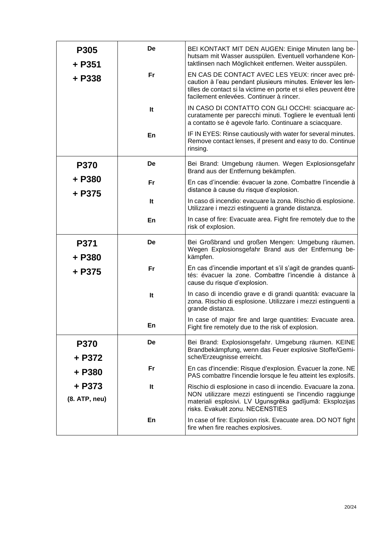| P305<br>+ P351          | De | BEI KONTAKT MIT DEN AUGEN: Einige Minuten lang be-<br>hutsam mit Wasser ausspülen. Eventuell vorhandene Kon-<br>taktlinsen nach Möglichkeit entfernen. Weiter ausspülen.                                                          |  |
|-------------------------|----|-----------------------------------------------------------------------------------------------------------------------------------------------------------------------------------------------------------------------------------|--|
| + P338                  | Fr | EN CAS DE CONTACT AVEC LES YEUX: rincer avec pré-<br>caution à l'eau pendant plusieurs minutes. Enlever les len-<br>tilles de contact si la victime en porte et si elles peuvent être<br>facilement enlevées. Continuer à rincer. |  |
|                         | It | IN CASO DI CONTATTO CON GLI OCCHI: sciacquare ac-<br>curatamente per parecchi minuti. Togliere le eventuali lenti<br>a contatto se è agevole farlo. Continuare a sciacquare.                                                      |  |
|                         | En | IF IN EYES: Rinse cautiously with water for several minutes.<br>Remove contact lenses, if present and easy to do. Continue<br>rinsing.                                                                                            |  |
| <b>P370</b>             | De | Bei Brand: Umgebung räumen. Wegen Explosionsgefahr<br>Brand aus der Entfernung bekämpfen.                                                                                                                                         |  |
| + P380<br>+ P375        | Fr | En cas d'incendie: évacuer la zone. Combattre l'incendie à<br>distance à cause du risque d'explosion.                                                                                                                             |  |
|                         | It | In caso di incendio: evacuare la zona. Rischio di esplosione.<br>Utilizzare i mezzi estinguenti a grande distanza.                                                                                                                |  |
|                         | En | In case of fire: Evacuate area. Fight fire remotely due to the<br>risk of explosion.                                                                                                                                              |  |
| P371<br>+ P380          | De | Bei Großbrand und großen Mengen: Umgebung räumen.<br>Wegen Explosionsgefahr Brand aus der Entfernung be-<br>kämpfen.                                                                                                              |  |
| + P375                  | Fr | En cas d'incendie important et s'il s'agit de grandes quanti-<br>tés: évacuer la zone. Combattre l'incendie à distance à<br>cause du risque d'explosion.                                                                          |  |
|                         | It | In caso di incendio grave e di grandi quantità: evacuare la<br>zona. Rischio di esplosione. Utilizzare i mezzi estinguenti a<br>grande distanza.                                                                                  |  |
|                         | En | In case of major fire and large quantities: Evacuate area.<br>Fight fire remotely due to the risk of explosion.                                                                                                                   |  |
| <b>P370</b><br>+ P372   | De | Bei Brand: Explosionsgefahr. Umgebung räumen. KEINE<br>Brandbekämpfung, wenn das Feuer explosive Stoffe/Gemi-<br>sche/Erzeugnisse erreicht.                                                                                       |  |
| + P380                  | Fr | En cas d'incendie: Risque d'explosion. Évacuer la zone. NE<br>PAS combattre l'incendie lorsque le feu atteint les explosifs.                                                                                                      |  |
| + P373<br>(8. ATP, neu) | It | Rischio di esplosione in caso di incendio. Evacuare la zona.<br>NON utilizzare mezzi estinguenti se l'incendio raggiunge<br>materiali esplosivi. LV Ugunsgrēka gadījumā: Eksplozijas<br>risks. Evakuēt zonu. NECENSTIES           |  |
|                         | En | In case of fire: Explosion risk. Evacuate area. DO NOT fight<br>fire when fire reaches explosives.                                                                                                                                |  |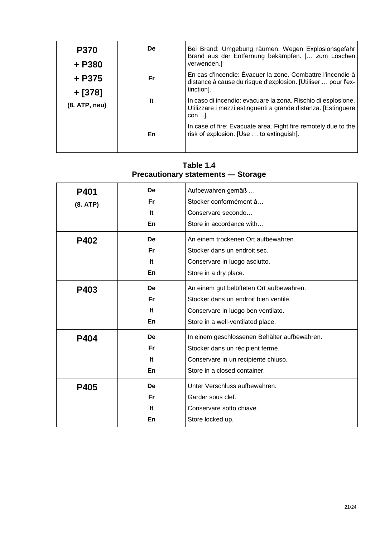| <b>P370</b><br>+ P380 | De. | Bei Brand: Umgebung räumen. Wegen Explosionsgefahr<br>Brand aus der Entfernung bekämpfen. [ zum Löschen<br>verwenden.                     |
|-----------------------|-----|-------------------------------------------------------------------------------------------------------------------------------------------|
| + P375<br>+ [378]     | Fr. | En cas d'incendie: Évacuer la zone. Combattre l'incendie à<br>distance à cause du risque d'explosion. [Utiliser  pour l'ex-<br>tinction]. |
| (8. ATP, neu)         | It  | In caso di incendio: evacuare la zona. Rischio di esplosione.<br>Utilizzare i mezzi estinguenti a grande distanza. [Estinguere<br>$con$ . |
|                       | En  | In case of fire: Evacuate area. Fight fire remotely due to the<br>risk of explosion. [Use  to extinguish].                                |

| $\mathbf{r}$ recadulumary statements — otorage |           |                                              |  |
|------------------------------------------------|-----------|----------------------------------------------|--|
| P401                                           | De        | Aufbewahren gemäß                            |  |
| (8. ATP)                                       | <b>Fr</b> | Stocker conformément à                       |  |
|                                                | It        | Conservare secondo                           |  |
|                                                | En        | Store in accordance with                     |  |
| <b>P402</b>                                    | De        | An einem trockenen Ort aufbewahren.          |  |
|                                                | Fr        | Stocker dans un endroit sec.                 |  |
|                                                | It        | Conservare in luogo asciutto.                |  |
|                                                | En        | Store in a dry place.                        |  |
| P403                                           | De        | An einem gut belüfteten Ort aufbewahren.     |  |
|                                                | Fr        | Stocker dans un endroit bien ventilé.        |  |
|                                                | It        | Conservare in luogo ben ventilato.           |  |
|                                                | En        | Store in a well-ventilated place.            |  |
| P404                                           | De        | In einem geschlossenen Behälter aufbewahren. |  |
|                                                | <b>Fr</b> | Stocker dans un récipient fermé.             |  |
|                                                | lt.       | Conservare in un recipiente chiuso.          |  |
|                                                | En        | Store in a closed container.                 |  |
| P405                                           | De        | Unter Verschluss aufbewahren.                |  |
|                                                | Fr        | Garder sous clef.                            |  |
|                                                | It        | Conservare sotto chiave.                     |  |
|                                                | En        | Store locked up.                             |  |

## **Table 1.4 Precautionary statements — Storage**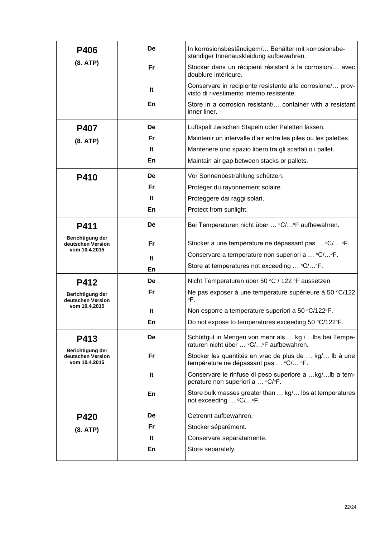| <b>P406</b>                                            | De | In korrosionsbeständigem/ Behälter mit korrosionsbe-<br>ständiger Innenauskleidung aufbewahren.         |  |
|--------------------------------------------------------|----|---------------------------------------------------------------------------------------------------------|--|
| (8. ATP)                                               | Fr | Stocker dans un récipient résistant à la corrosion/ avec<br>doublure intérieure.                        |  |
|                                                        | It | Conservare in recipiente resistente alla corrosione/ prov-<br>visto di rivestimento interno resistente. |  |
|                                                        | En | Store in a corrosion resistant/ container with a resistant<br>inner liner.                              |  |
| <b>P407</b>                                            | De | Luftspalt zwischen Stapeln oder Paletten lassen.                                                        |  |
| (8. ATP)                                               | Fr | Maintenir un intervalle d'air entre les piles ou les palettes.                                          |  |
|                                                        | It | Mantenere uno spazio libero tra gli scaffali o i pallet.                                                |  |
|                                                        | En | Maintain air gap between stacks or pallets.                                                             |  |
| P410                                                   | De | Vor Sonnenbestrahlung schützen.                                                                         |  |
|                                                        | Fr | Protéger du rayonnement solaire.                                                                        |  |
|                                                        | It | Proteggere dai raggi solari.                                                                            |  |
|                                                        | En | Protect from sunlight.                                                                                  |  |
| P411                                                   | De | Bei Temperaturen nicht über  °C/°F aufbewahren.                                                         |  |
| Berichtigung der<br>deutschen Version<br>vom 10.4.2015 | Fr | Stocker à une température ne dépassant pas  °C/ °F.                                                     |  |
|                                                        | It | Conservare a temperature non superiori a  °C/°F.                                                        |  |
|                                                        | En | Store at temperatures not exceeding  °C/°F.                                                             |  |
| P412                                                   | De | Nicht Temperaturen über 50 °C / 122 °F aussetzen                                                        |  |
| Berichtigung der<br>deutschen Version                  | Fr | Ne pas exposer à une température supérieure à 50 °C/122<br>$\circ$ F.                                   |  |
| vom 10.4.2015                                          | It | Non esporre a temperature superiori a 50 °C/122°F.                                                      |  |
|                                                        | En | Do not expose to temperatures exceeding 50 °C/122°F.                                                    |  |
| P413                                                   | De | Schüttgut in Mengen von mehr als  kg /  lbs bei Tempe-<br>raturen nicht über  °C/°F aufbewahren.        |  |
| Berichtigung der<br>deutschen Version<br>vom 10.4.2015 | Fr | Stocker les quantités en vrac de plus de  kg/ Ib à une<br>température ne dépassant pas  °C/ °F.         |  |
|                                                        | It | Conservare le rinfuse di peso superiore a kg/lb a tem-<br>perature non superiori a  °C/°F.              |  |
|                                                        | En | Store bulk masses greater than  kg/ lbs at temperatures<br>not exceeding  °C/°F.                        |  |
| <b>P420</b>                                            | De | Getrennt aufbewahren.                                                                                   |  |
| (8. ATP)                                               | Fr | Stocker séparément.                                                                                     |  |
|                                                        | It | Conservare separatamente.                                                                               |  |
|                                                        | En | Store separately.                                                                                       |  |
|                                                        |    |                                                                                                         |  |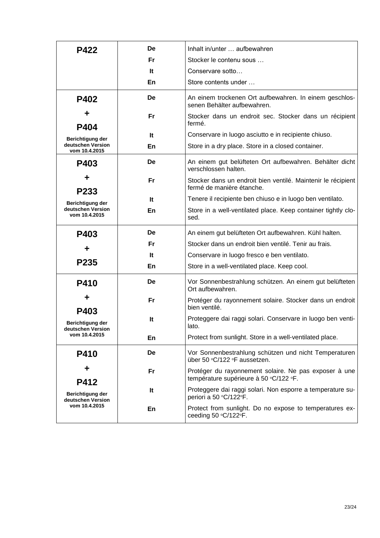| <b>P422</b>                           | De        | Inhalt in/unter  aufbewahren                                                                    |  |
|---------------------------------------|-----------|-------------------------------------------------------------------------------------------------|--|
|                                       | Fr        | Stocker le contenu sous                                                                         |  |
|                                       | It        | Conservare sotto                                                                                |  |
|                                       | En        | Store contents under                                                                            |  |
| <b>P402</b>                           | De        | An einem trockenen Ort aufbewahren. In einem geschlos-<br>senen Behälter aufbewahren.           |  |
| ÷<br>P404                             | <b>Fr</b> | Stocker dans un endroit sec. Stocker dans un récipient<br>fermé.                                |  |
| Berichtigung der                      | It        | Conservare in luogo asciutto e in recipiente chiuso.                                            |  |
| deutschen Version<br>vom 10.4.2015    | En        | Store in a dry place. Store in a closed container.                                              |  |
| P403                                  | De        | An einem gut belüfteten Ort aufbewahren. Behälter dicht<br>verschlossen halten.                 |  |
| P233                                  | Fr        | Stocker dans un endroit bien ventilé. Maintenir le récipient<br>fermé de manière étanche.       |  |
| Berichtigung der                      | It        | Tenere il recipiente ben chiuso e in luogo ben ventilato.                                       |  |
| deutschen Version<br>vom 10.4.2015    | En        | Store in a well-ventilated place. Keep container tightly clo-<br>sed.                           |  |
| P403                                  | De        | An einem gut belüfteten Ort aufbewahren. Kühl halten.                                           |  |
| ÷                                     | Fr        | Stocker dans un endroit bien ventilé. Tenir au frais.                                           |  |
| P <sub>235</sub>                      | It        | Conservare in luogo fresco e ben ventilato.                                                     |  |
|                                       | En        | Store in a well-ventilated place. Keep cool.                                                    |  |
| P410                                  | De        | Vor Sonnenbestrahlung schützen. An einem gut belüfteten<br>Ort aufbewahren.                     |  |
| ÷<br>P403                             | <b>Fr</b> | Protéger du rayonnement solaire. Stocker dans un endroit<br>bien ventilé.                       |  |
| Berichtigung der<br>deutschen Version | It        | Proteggere dai raggi solari. Conservare in luogo ben venti-<br>lato.                            |  |
| vom 10.4.2015                         | En        | Protect from sunlight. Store in a well-ventilated place.                                        |  |
| <b>P410</b>                           | De        | Vor Sonnenbestrahlung schützen und nicht Temperaturen<br>über 50 °C/122 °F aussetzen.           |  |
| P412                                  | <b>Fr</b> | Protéger du rayonnement solaire. Ne pas exposer à une<br>température supérieure à 50 °C/122 °F. |  |
| Berichtigung der<br>deutschen Version | It        | Proteggere dai raggi solari. Non esporre a temperature su-<br>periori a 50 °C/122°F.            |  |
| vom 10.4.2015                         | En        | Protect from sunlight. Do no expose to temperatures ex-<br>ceeding 50 °C/122°F.                 |  |